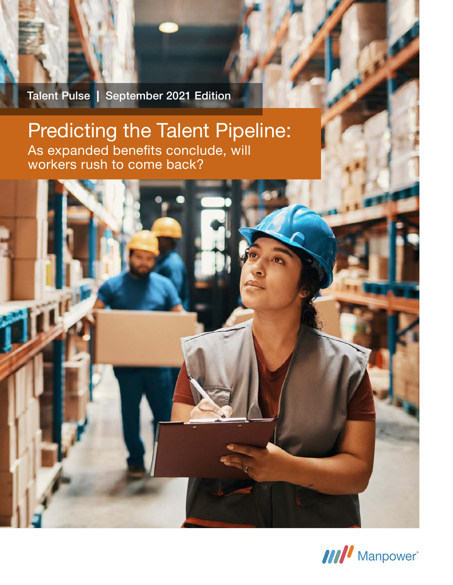Talent Pulse | September 2021 Edition

**TILLE** 

# Predicting the Talent Pipeline: As expanded benefits conclude, will workers rush to come back?

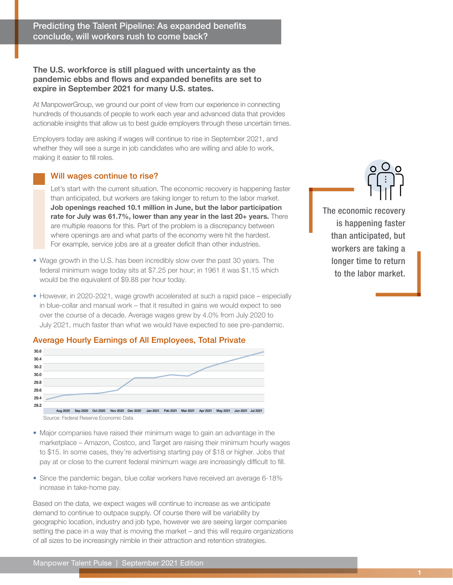## The U.S. workforce is still plagued with uncertainty as the pandemic ebbs and flows and expanded benefits are set to expire in September 2021 for many U.S. states.

At ManpowerGroup, we ground our point of view from our experience in connecting hundreds of thousands of people to work each year and advanced data that provides actionable insights that allow us to best guide employers through these uncertain times.

Employers today are asking if wages will continue to rise in September 2021, and whether they will see a surge in job candidates who are willing and able to work, making it easier to fill roles.

## Will wages continue to rise?

Let's start with the current situation. The economic recovery is happening faster than anticipated, but workers are taking longer to return to the labor market. Job openings reached 10.1 million in June, but the labor participation rate for July was 61.7%, lower than any year in the last 20+ years. There are multiple reasons for this. Part of the problem is a discrepancy between where openings are and what parts of the economy were hit the hardest. For example, service jobs are at a greater deficit than other industries.

- Wage growth in the U.S. has been incredibly slow over the past 30 years. The federal minimum wage today sits at \$7.25 per hour; in 1961 it was \$1.15 which would be the equivalent of \$9.88 per hour today.
- However, in 2020-2021, wage growth accelerated at such a rapid pace especially in blue-collar and manual work – that it resulted in gains we would expect to see over the course of a decade. Average wages grew by 4.0% from July 2020 to July 2021, much faster than what we would have expected to see pre-pandemic.

## Average Hourly Earnings of All Employees, Total Private



[Source: Federal Reserve Economic Data](https://fred.stlouisfed.org/series/CES0500000003#0)

- Major companies have raised their minimum wage to gain an advantage in the marketplace – [Amazon, Costco, and Target are raising their minimum hourly wages](https://www.reuters.com/article/us-costco-wholesale-pay/costco-lifts-minimum-wage-above-amazon-or-target-to-16-per-hour-idUSKBN2AP28X)  [to \\$15.](https://www.reuters.com/article/us-costco-wholesale-pay/costco-lifts-minimum-wage-above-amazon-or-target-to-16-per-hour-idUSKBN2AP28X) In some cases, they're advertising starting pay of \$18 or higher. Jobs that pay at or close to the current federal minimum wage are increasingly difficult to fill.
- Since the pandemic began, blue collar workers have received an average 6-18% increase in take-home pay.

Based on the data, we expect wages will continue to increase as we anticipate demand to continue to outpace supply. Of course there will be variability by geographic location, industry and job type, however we are seeing larger companies setting the pace in a way that is moving the market – and this will require organizations of all sizes to be increasingly nimble in their attraction and retention strategies.

The economic recovery is happening faster than anticipated, but workers are taking a longer time to return to the labor market.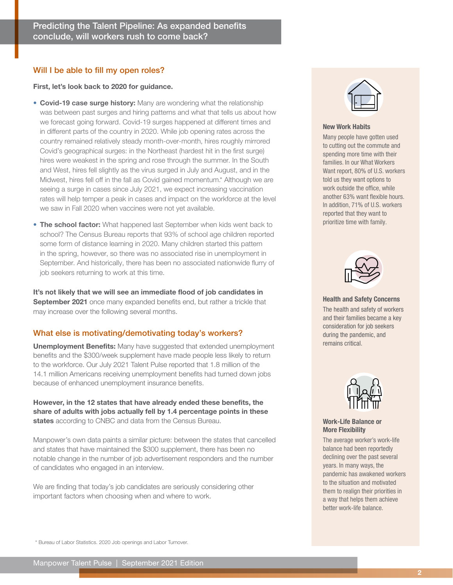#### Will I be able to fill my open roles?

First, let's look back to 2020 for guidance.

- Covid-19 case surge history: Many are wondering what the relationship was between past surges and hiring patterns and what that tells us about how we forecast going forward. Covid-19 surges happened at different times and in different parts of the country in 2020. While job opening rates across the country remained relatively steady month-over-month, hires roughly mirrored [Covid's geographical surges:](https://www.nbcnews.com/news/us-news/it-was-hell-how-covid-19-surges-played-out-season-n1260446) in the Northeast (hardest hit in the first surge) hires were weakest in the spring and rose through the summer. In the South and West, hires fell slightly as the virus surged in July and August, and in the Midwest, hires fell off in the fall as Covid gained momentum.\* Although we are seeing a surge in cases since July 2021, we expect increasing vaccination rates will help temper a peak in cases and impact on the workforce at the level we saw in Fall 2020 when vaccines were not yet available.
- The school factor: What happened last September when kids went back to school? The [Census Bureau reports that 93% of school age children reported](https://www.census.gov/library/stories/2020/08/schooling-during-the-covid-19-pandemic.html)  [some form of distance learning in 2020](https://www.census.gov/library/stories/2020/08/schooling-during-the-covid-19-pandemic.html). Many children started this pattern in the spring, however, so there was no associated rise in unemployment in September. And historically, there has been no associated nationwide flurry of job seekers returning to work at this time.

It's not likely that we will see an immediate flood of job candidates in September 2021 once many expanded benefits end, but rather a trickle that may increase over the following several months.

## What else is motivating/demotivating today's workers?

Unemployment Benefits: Many have suggested that extended unemployment benefits and the \$300/week supplement have made people less likely to return to the workforce. Our [July 2021 Talent Pulse](https://www.manpowergroupusa.com/insights/workforce-mix-in-talent-shortage?utm_source=pdf&utm_medium=sales-enablement&utm_campaign=mp_us_b2b_talent_pulse&utm_content=september-pulse) reported that 1.8 million of the 14.1 million Americans receiving unemployment benefits had turned down jobs because of enhanced unemployment insurance benefits.

However, in the 12 states that have already ended these benefits, the share of adults with jobs actually fell by 1.4 percentage points in these states [according to CNBC and data from the Census Bureau.](https://www.cnbc.com/2021/07/22/cuts-to-unemployment-benefits-didnt-get-people-back-to-work-study-finds.html)

Manpower's own data paints a similar picture: between the states that cancelled and states that have maintained the \$300 supplement, there has been no notable change in the number of job advertisement responders and the number of candidates who engaged in an interview.

We are finding that today's job candidates are seriously considering other important factors when choosing when and where to work.



#### New Work Habits

Many people have gotten used to cutting out the commute and spending more time with their families. In our [What Workers](https://web.manpowergroup.us/hubfs/Campaign%20or%20Program-Specific%20Assets/MPG%20-%20What%20Workers%20Want%20Future/MPG_US_Future_For_Workers_Report.pdf)  [Want report](https://web.manpowergroup.us/hubfs/Campaign%20or%20Program-Specific%20Assets/MPG%20-%20What%20Workers%20Want%20Future/MPG_US_Future_For_Workers_Report.pdf), 80% of U.S. workers told us they want options to work outside the office, while another 63% want flexible hours. In addition, 71% of U.S. workers reported that they want to prioritize time with family.



Health and Safety Concerns

The health and safety of workers and their families became a key consideration for job seekers during the pandemic, and remains critical.



#### Work-Life Balance or More Flexibility

The average worker's work-life balance had been reportedly declining over the past several years. In many ways, the pandemic has awakened workers to the situation and motivated them to realign their priorities in a way that helps them achieve better work-life balance.

\* [Bureau of Labor Statistics. 2020 Job openings and Labor Turnover.](https://www.bls.gov/bls/news-release/jolts.htm#2020)